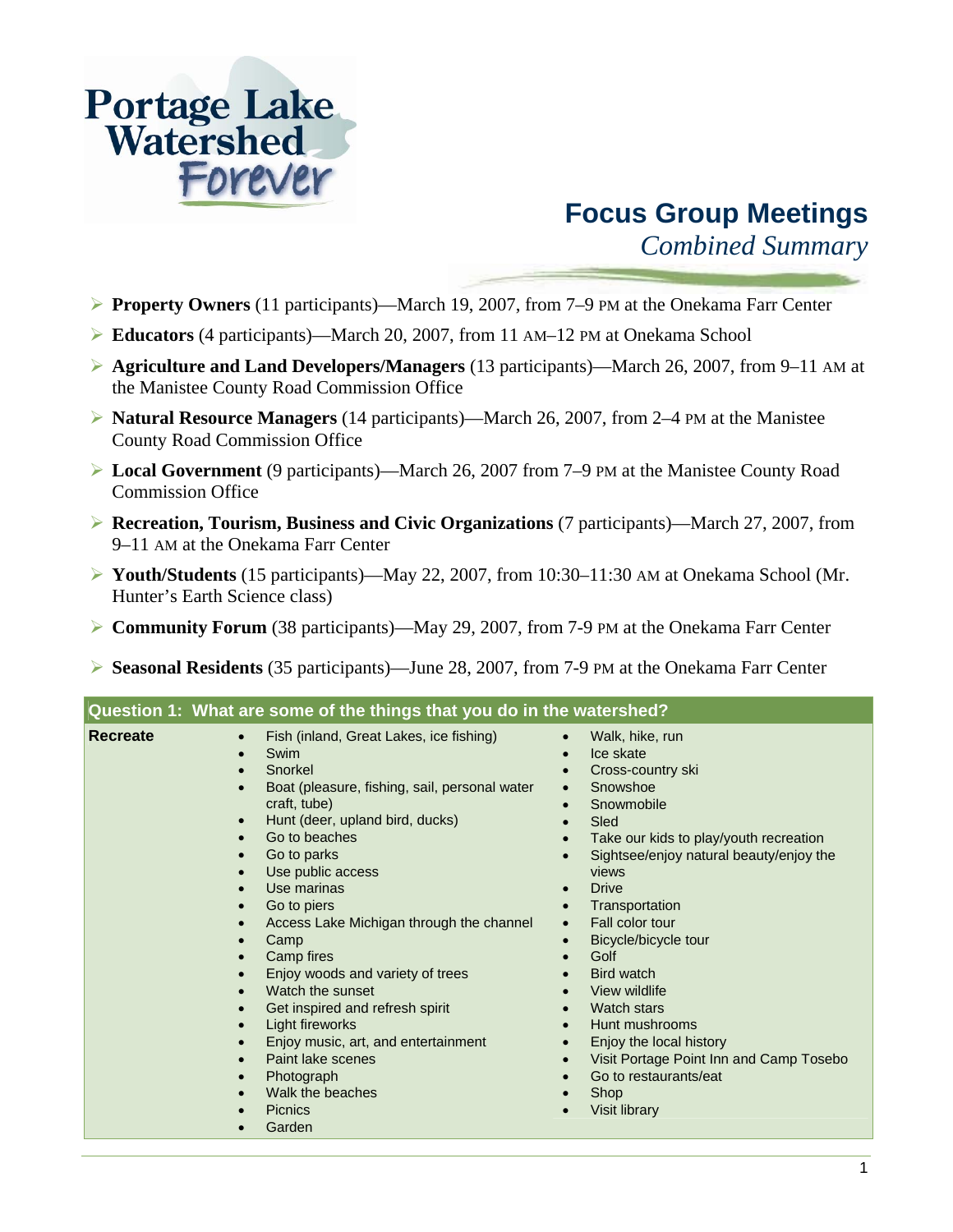

# **Focus Group Meetings**

*Combined Summary* 

- ¾ **Property Owners** (11 participants)—March 19, 2007, from 7–9 PM at the Onekama Farr Center
- ¾ **Educators** (4 participants)—March 20, 2007, from 11 AM–12 PM at Onekama School
- ¾ **Agriculture and Land Developers/Managers** (13 participants)—March 26, 2007, from 9–11 AM at the Manistee County Road Commission Office
- ¾ **Natural Resource Managers** (14 participants)—March 26, 2007, from 2–4 PM at the Manistee County Road Commission Office
- ¾ **Local Government** (9 participants)—March 26, 2007 from 7–9 PM at the Manistee County Road Commission Office
- ¾ **Recreation, Tourism, Business and Civic Organizations** (7 participants)—March 27, 2007, from 9–11 AM at the Onekama Farr Center
- ¾ **Youth/Students** (15 participants)—May 22, 2007, from 10:30–11:30 AM at Onekama School (Mr. Hunter's Earth Science class)
- ¾ **Community Forum** (38 participants)—May 29, 2007, from 7-9 PM at the Onekama Farr Center
- ¾ **Seasonal Residents** (35 participants)—June 28, 2007, from 7-9 PM at the Onekama Farr Center

| Question 1: what are some of the things that you do in the watershed?                                                                                                                                                                                                                  |                                                                                                                                                                                                                                                                                                                                                                                                                                                                                                      |                                                                                                                                                                                                                                                                                                                                                                                                                                                                                                                                                                                      |  |
|----------------------------------------------------------------------------------------------------------------------------------------------------------------------------------------------------------------------------------------------------------------------------------------|------------------------------------------------------------------------------------------------------------------------------------------------------------------------------------------------------------------------------------------------------------------------------------------------------------------------------------------------------------------------------------------------------------------------------------------------------------------------------------------------------|--------------------------------------------------------------------------------------------------------------------------------------------------------------------------------------------------------------------------------------------------------------------------------------------------------------------------------------------------------------------------------------------------------------------------------------------------------------------------------------------------------------------------------------------------------------------------------------|--|
| <b>Recreate</b><br>$\bullet$<br>Swim<br>$\bullet$<br>Snorkel<br>$\bullet$<br>$\bullet$<br>$\bullet$<br>$\bullet$<br>Camp<br>$\bullet$<br>$\bullet$<br>$\bullet$<br>$\bullet$<br>$\bullet$<br>$\bullet$<br>$\bullet$<br>$\bullet$<br><b>Picnics</b><br>$\bullet$<br>Garden<br>$\bullet$ | Fish (inland, Great Lakes, ice fishing)<br>Boat (pleasure, fishing, sail, personal water<br>craft, tube)<br>Hunt (deer, upland bird, ducks)<br>Go to beaches<br>Go to parks<br>Use public access<br>Use marinas<br>Go to piers<br>Access Lake Michigan through the channel<br>Camp fires<br>Enjoy woods and variety of trees<br>Watch the sunset<br>Get inspired and refresh spirit<br>Light fireworks<br>Enjoy music, art, and entertainment<br>Paint lake scenes<br>Photograph<br>Walk the beaches | Walk, hike, run<br>$\bullet$<br>Ice skate<br>$\bullet$<br>Cross-country ski<br>Snowshoe<br>$\bullet$<br>Snowmobile<br>$\bullet$<br>Sled<br>Take our kids to play/youth recreation<br>Sightsee/enjoy natural beauty/enjoy the<br>views<br><b>Drive</b><br>Transportation<br>Fall color tour<br>$\bullet$<br>Bicycle/bicycle tour<br>$\bullet$<br>Golf<br>Bird watch<br>View wildlife<br><b>Watch stars</b><br>Hunt mushrooms<br>$\bullet$<br>Enjoy the local history<br>$\bullet$<br>Visit Portage Point Inn and Camp Tosebo<br>Go to restaurants/eat<br>Shop<br><b>Visit library</b> |  |

## **Question 1: What are some of the things that you do in the watershed?**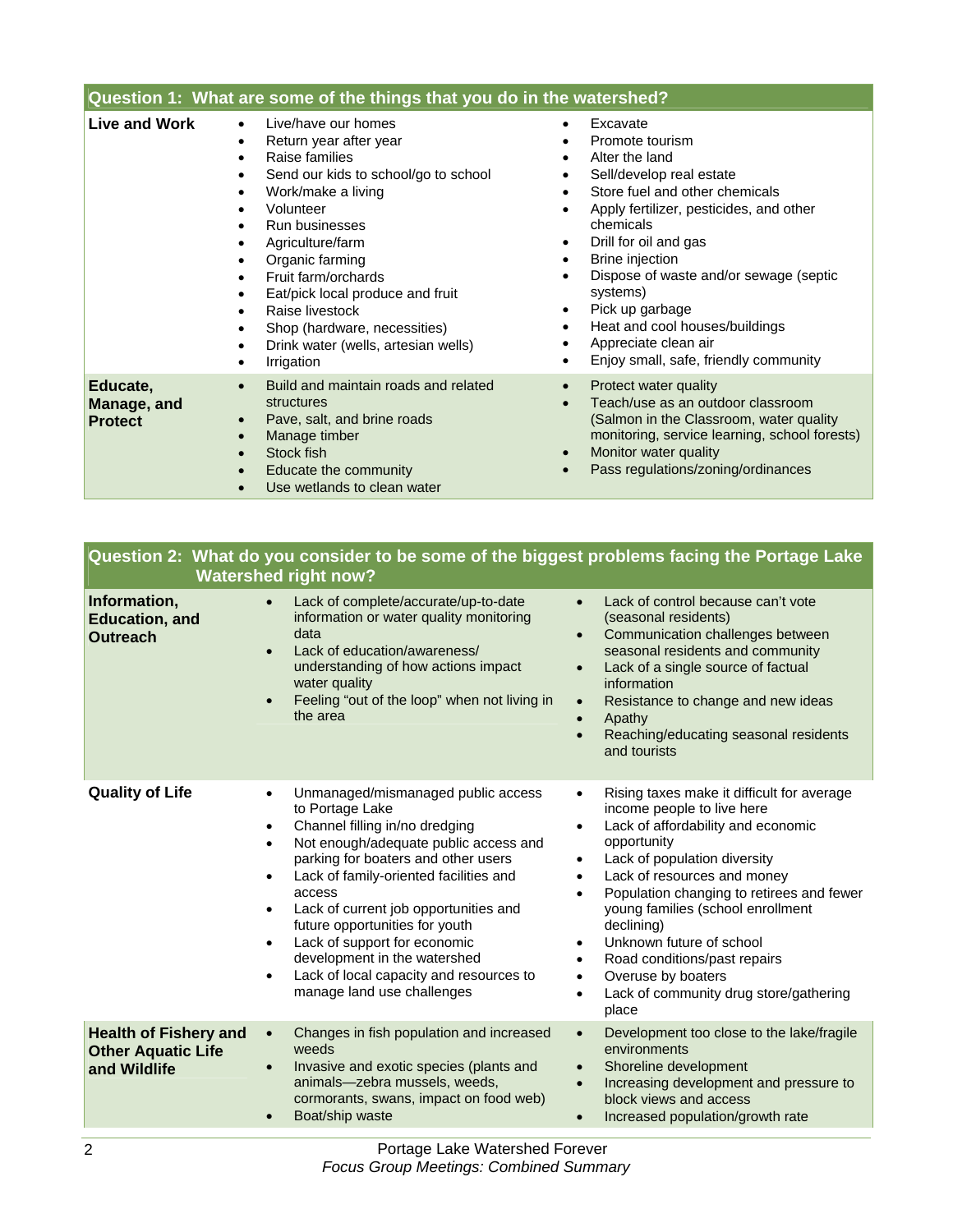| Question 1: What are some of the things that you do in the watershed? |                                                                                                                                                                                                                                                                                                                                                                                                                         |                                                                                                                                                                                                                                                                                                                                                                                                                                    |
|-----------------------------------------------------------------------|-------------------------------------------------------------------------------------------------------------------------------------------------------------------------------------------------------------------------------------------------------------------------------------------------------------------------------------------------------------------------------------------------------------------------|------------------------------------------------------------------------------------------------------------------------------------------------------------------------------------------------------------------------------------------------------------------------------------------------------------------------------------------------------------------------------------------------------------------------------------|
| Live and Work                                                         | Live/have our homes<br>Return year after year<br>٠<br>Raise families<br>٠<br>Send our kids to school/go to school<br>Work/make a living<br>Volunteer<br>Run businesses<br>$\bullet$<br>Agriculture/farm<br>Organic farming<br>Fruit farm/orchards<br>$\bullet$<br>Eat/pick local produce and fruit<br>Raise livestock<br>$\bullet$<br>Shop (hardware, necessities)<br>Drink water (wells, artesian wells)<br>Irrigation | Excavate<br>$\bullet$<br>Promote tourism<br>Alter the land<br>Sell/develop real estate<br>Store fuel and other chemicals<br>Apply fertilizer, pesticides, and other<br>chemicals<br>Drill for oil and gas<br>$\bullet$<br>Brine injection<br>Dispose of waste and/or sewage (septic<br>systems)<br>Pick up garbage<br>$\bullet$<br>Heat and cool houses/buildings<br>Appreciate clean air<br>Enjoy small, safe, friendly community |
| Educate,<br>Manage, and<br><b>Protect</b>                             | Build and maintain roads and related<br>$\bullet$<br>structures<br>Pave, salt, and brine roads<br>$\bullet$<br>Manage timber<br>Stock fish<br>$\bullet$<br>Educate the community<br>Use wetlands to clean water                                                                                                                                                                                                         | Protect water quality<br>Teach/use as an outdoor classroom<br>(Salmon in the Classroom, water quality<br>monitoring, service learning, school forests)<br>Monitor water quality<br>Pass regulations/zoning/ordinances                                                                                                                                                                                                              |

| Question 2: What do you consider to be some of the biggest problems facing the Portage Lake |
|---------------------------------------------------------------------------------------------|
| <b>Watershed right now?</b>                                                                 |

| Information,<br><b>Education, and</b><br><b>Outreach</b>                  | Lack of complete/accurate/up-to-date<br>$\bullet$<br>information or water quality monitoring<br>data<br>Lack of education/awareness/<br>$\bullet$<br>understanding of how actions impact<br>water quality<br>Feeling "out of the loop" when not living in<br>$\bullet$<br>the area                                                                                                                                                                                                                                                         | Lack of control because can't vote<br>$\bullet$<br>(seasonal residents)<br>Communication challenges between<br>$\bullet$<br>seasonal residents and community<br>Lack of a single source of factual<br>$\bullet$<br>information<br>Resistance to change and new ideas<br>$\bullet$<br>Apathy<br>$\bullet$<br>Reaching/educating seasonal residents<br>$\bullet$<br>and tourists                                                                                                                                                                 |
|---------------------------------------------------------------------------|--------------------------------------------------------------------------------------------------------------------------------------------------------------------------------------------------------------------------------------------------------------------------------------------------------------------------------------------------------------------------------------------------------------------------------------------------------------------------------------------------------------------------------------------|------------------------------------------------------------------------------------------------------------------------------------------------------------------------------------------------------------------------------------------------------------------------------------------------------------------------------------------------------------------------------------------------------------------------------------------------------------------------------------------------------------------------------------------------|
| <b>Quality of Life</b>                                                    | Unmanaged/mismanaged public access<br>$\bullet$<br>to Portage Lake<br>Channel filling in/no dredging<br>$\bullet$<br>Not enough/adequate public access and<br>$\bullet$<br>parking for boaters and other users<br>Lack of family-oriented facilities and<br>$\bullet$<br>access<br>Lack of current job opportunities and<br>$\bullet$<br>future opportunities for youth<br>Lack of support for economic<br>$\bullet$<br>development in the watershed<br>Lack of local capacity and resources to<br>$\bullet$<br>manage land use challenges | Rising taxes make it difficult for average<br>$\bullet$<br>income people to live here<br>Lack of affordability and economic<br>$\bullet$<br>opportunity<br>Lack of population diversity<br>$\bullet$<br>Lack of resources and money<br>$\bullet$<br>Population changing to retirees and fewer<br>٠<br>young families (school enrollment<br>declining)<br>Unknown future of school<br>$\bullet$<br>Road conditions/past repairs<br>$\bullet$<br>Overuse by boaters<br>$\bullet$<br>Lack of community drug store/gathering<br>$\bullet$<br>place |
| <b>Health of Fishery and</b><br><b>Other Aquatic Life</b><br>and Wildlife | Changes in fish population and increased<br>$\bullet$<br>weeds<br>Invasive and exotic species (plants and<br>$\bullet$<br>animals-zebra mussels, weeds,<br>cormorants, swans, impact on food web)<br>Boat/ship waste                                                                                                                                                                                                                                                                                                                       | Development too close to the lake/fragile<br>$\bullet$<br>environments<br>Shoreline development<br>$\bullet$<br>Increasing development and pressure to<br>$\bullet$<br>block views and access<br>Increased population/growth rate<br>$\bullet$                                                                                                                                                                                                                                                                                                 |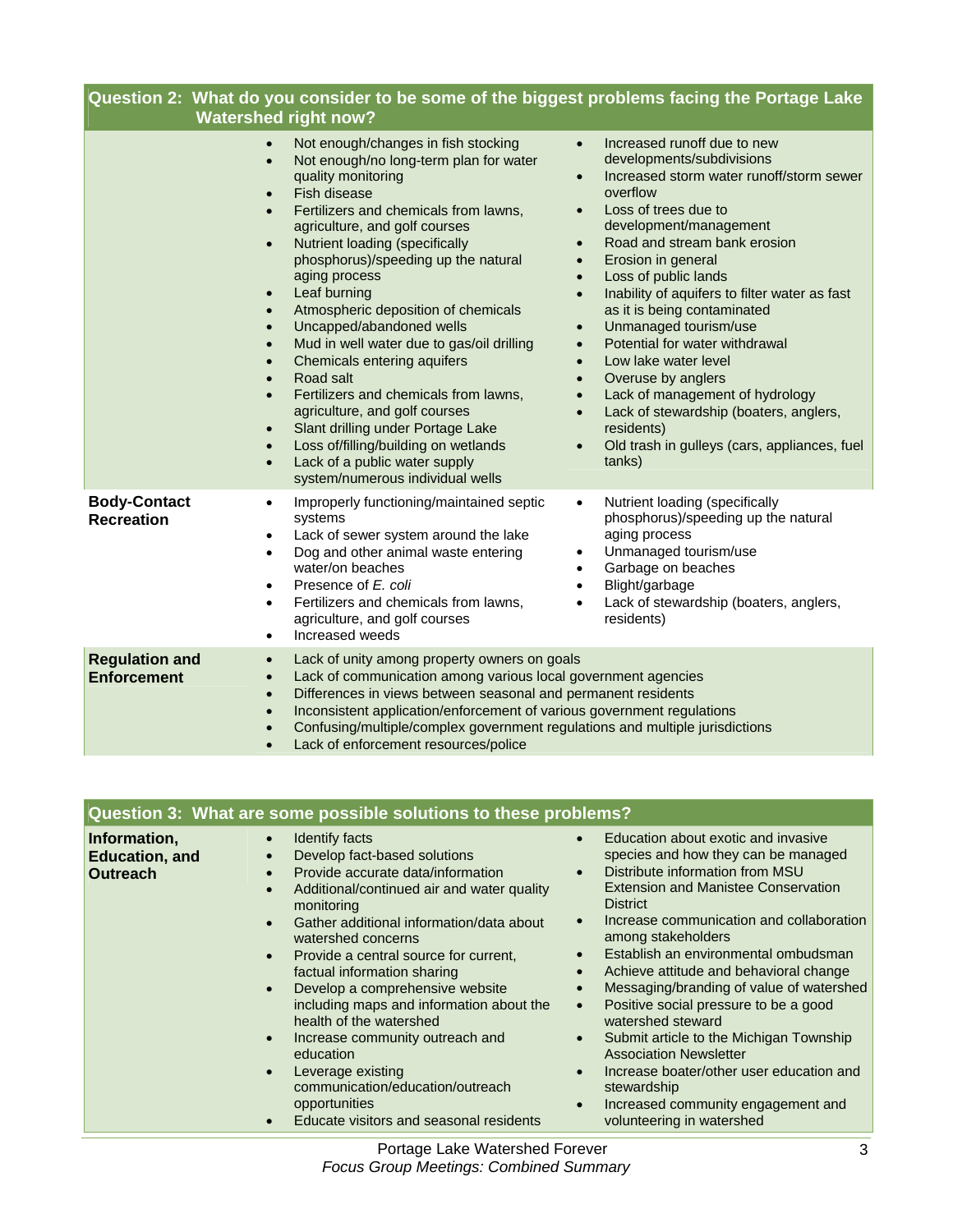| Question 2: What do you consider to be some of the biggest problems facing the Portage Lake<br><b>Watershed right now?</b> |                                                                                                                                                                                                                                                                                                                                                                                                                                                                                                                                                                                                                                                                                                                                                                                                                                                                                                                                                                                                                                                                                                                                                                                                                                                                                                                                                                                                                                                                                                                                                                                                                           |  |
|----------------------------------------------------------------------------------------------------------------------------|---------------------------------------------------------------------------------------------------------------------------------------------------------------------------------------------------------------------------------------------------------------------------------------------------------------------------------------------------------------------------------------------------------------------------------------------------------------------------------------------------------------------------------------------------------------------------------------------------------------------------------------------------------------------------------------------------------------------------------------------------------------------------------------------------------------------------------------------------------------------------------------------------------------------------------------------------------------------------------------------------------------------------------------------------------------------------------------------------------------------------------------------------------------------------------------------------------------------------------------------------------------------------------------------------------------------------------------------------------------------------------------------------------------------------------------------------------------------------------------------------------------------------------------------------------------------------------------------------------------------------|--|
|                                                                                                                            | Increased runoff due to new<br>Not enough/changes in fish stocking<br>$\bullet$<br>developments/subdivisions<br>Not enough/no long-term plan for water<br>$\bullet$<br>quality monitoring<br>Increased storm water runoff/storm sewer<br>$\bullet$<br>overflow<br>Fish disease<br>$\bullet$<br>Loss of trees due to<br>Fertilizers and chemicals from lawns,<br>$\bullet$<br>development/management<br>agriculture, and golf courses<br>Road and stream bank erosion<br>Nutrient loading (specifically<br>$\bullet$<br>$\bullet$<br>phosphorus)/speeding up the natural<br>Erosion in general<br>$\bullet$<br>aging process<br>Loss of public lands<br>$\bullet$<br>Leaf burning<br>Inability of aquifers to filter water as fast<br>$\bullet$<br>$\bullet$<br>Atmospheric deposition of chemicals<br>as it is being contaminated<br>$\bullet$<br>Uncapped/abandoned wells<br>Unmanaged tourism/use<br>$\bullet$<br>$\bullet$<br>Mud in well water due to gas/oil drilling<br>Potential for water withdrawal<br>$\bullet$<br>Chemicals entering aquifers<br>Low lake water level<br>$\bullet$<br>$\bullet$<br>Road salt<br>Overuse by anglers<br>$\bullet$<br>Fertilizers and chemicals from lawns,<br>Lack of management of hydrology<br>$\bullet$<br>$\bullet$<br>agriculture, and golf courses<br>Lack of stewardship (boaters, anglers,<br>$\bullet$<br>Slant drilling under Portage Lake<br>residents)<br>$\bullet$<br>Loss of/filling/building on wetlands<br>Old trash in gulleys (cars, appliances, fuel<br>$\bullet$<br>tanks)<br>Lack of a public water supply<br>$\bullet$<br>system/numerous individual wells |  |
| <b>Body-Contact</b><br><b>Recreation</b>                                                                                   | Improperly functioning/maintained septic<br>Nutrient loading (specifically<br>$\bullet$<br>$\bullet$<br>systems<br>phosphorus)/speeding up the natural<br>aging process<br>Lack of sewer system around the lake<br>$\bullet$<br>Unmanaged tourism/use<br>Dog and other animal waste entering<br>$\bullet$<br>$\bullet$<br>water/on beaches<br>Garbage on beaches<br>$\bullet$<br>Blight/garbage<br>Presence of E. coli<br>$\bullet$<br>$\bullet$<br>Fertilizers and chemicals from lawns,<br>Lack of stewardship (boaters, anglers,<br>$\bullet$<br>$\bullet$<br>agriculture, and golf courses<br>residents)<br>Increased weeds<br>$\bullet$                                                                                                                                                                                                                                                                                                                                                                                                                                                                                                                                                                                                                                                                                                                                                                                                                                                                                                                                                                              |  |
| <b>Regulation and</b><br><b>Enforcement</b>                                                                                | Lack of unity among property owners on goals<br>$\bullet$<br>Lack of communication among various local government agencies<br>$\bullet$<br>Differences in views between seasonal and permanent residents<br>$\bullet$<br>Inconsistent application/enforcement of various government regulations<br>$\bullet$<br>Confusing/multiple/complex government regulations and multiple jurisdictions<br>Lack of enforcement resources/police                                                                                                                                                                                                                                                                                                                                                                                                                                                                                                                                                                                                                                                                                                                                                                                                                                                                                                                                                                                                                                                                                                                                                                                      |  |

| Question 3: What are some possible solutions to these problems? |                                                                                                                                                                                                                                                                                                                                                                                                                                                                                                                                                                                                                                                                                                            |                                                                                                                                                                                                                                                                                                                                                                                                                                                                                                                                                                                                                                                        |  |
|-----------------------------------------------------------------|------------------------------------------------------------------------------------------------------------------------------------------------------------------------------------------------------------------------------------------------------------------------------------------------------------------------------------------------------------------------------------------------------------------------------------------------------------------------------------------------------------------------------------------------------------------------------------------------------------------------------------------------------------------------------------------------------------|--------------------------------------------------------------------------------------------------------------------------------------------------------------------------------------------------------------------------------------------------------------------------------------------------------------------------------------------------------------------------------------------------------------------------------------------------------------------------------------------------------------------------------------------------------------------------------------------------------------------------------------------------------|--|
| Information,<br><b>Education, and</b><br><b>Outreach</b>        | Identify facts<br>$\bullet$<br>Develop fact-based solutions<br>$\bullet$<br>Provide accurate data/information<br>$\bullet$<br>Additional/continued air and water quality<br>$\bullet$<br>monitoring<br>Gather additional information/data about<br>$\bullet$<br>watershed concerns<br>Provide a central source for current,<br>$\bullet$<br>factual information sharing<br>Develop a comprehensive website<br>$\bullet$<br>including maps and information about the<br>health of the watershed<br>Increase community outreach and<br>$\bullet$<br>education<br>Leverage existing<br>$\bullet$<br>communication/education/outreach<br>opportunities<br>Educate visitors and seasonal residents<br>$\bullet$ | Education about exotic and invasive<br>species and how they can be managed<br>Distribute information from MSU<br><b>Extension and Manistee Conservation</b><br><b>District</b><br>Increase communication and collaboration<br>among stakeholders<br>Establish an environmental ombudsman<br>Achieve attitude and behavioral change<br>Messaging/branding of value of watershed<br>Positive social pressure to be a good<br>watershed steward<br>Submit article to the Michigan Township<br><b>Association Newsletter</b><br>Increase boater/other user education and<br>stewardship<br>Increased community engagement and<br>volunteering in watershed |  |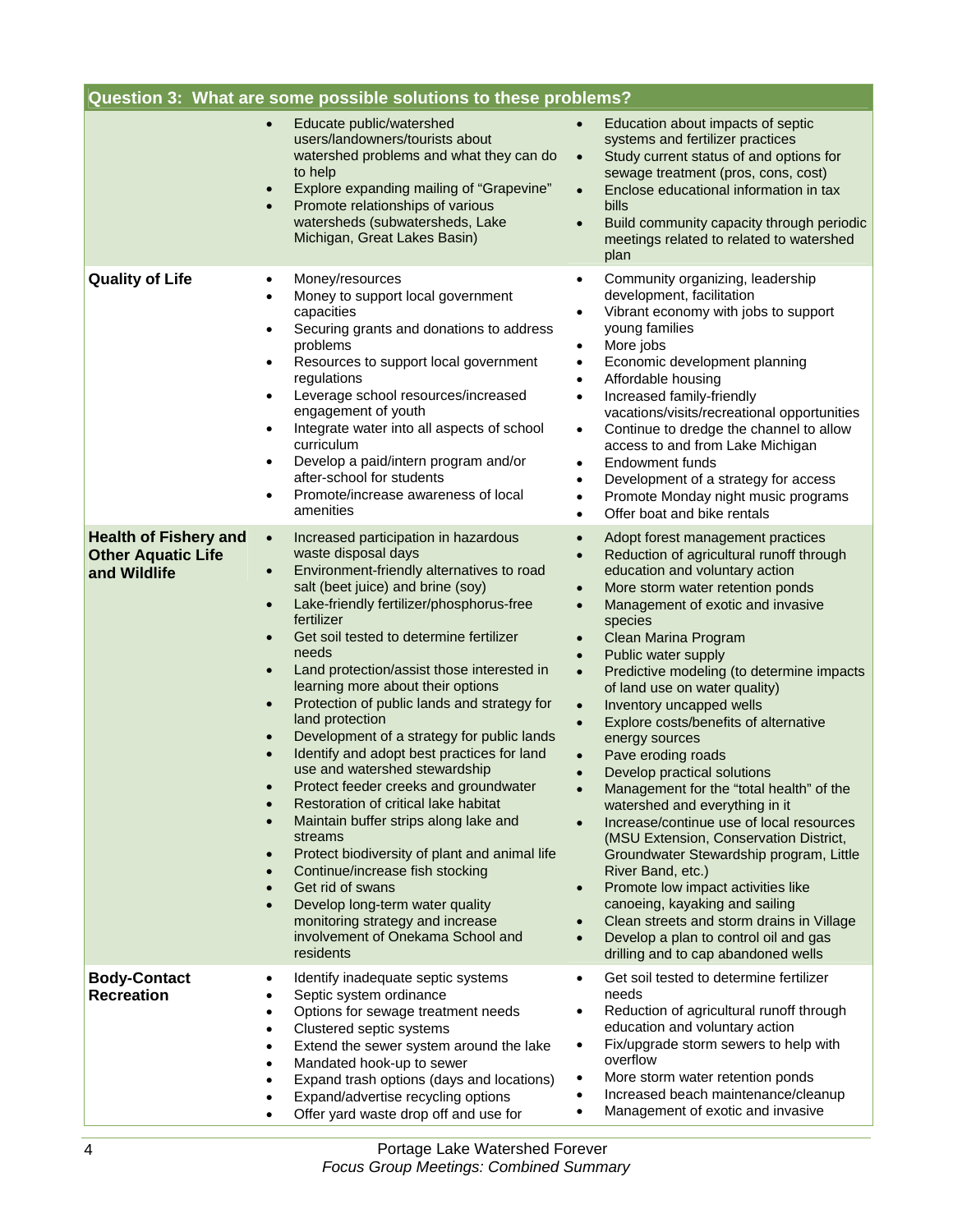|                                                                           | Question 3: What are some possible solutions to these problems?                                                                                                                                                                                                                                                                                                                                                                                                                                                                                                                                                                                                                                                                                                                                                                                                                                                                                                                                                                                                    |                                                                                                                                                                                                                                                                                                                                                                                                                                                                                                                                                                                                                                                                                                                                                                                                                                                                                                                                                                                        |
|---------------------------------------------------------------------------|--------------------------------------------------------------------------------------------------------------------------------------------------------------------------------------------------------------------------------------------------------------------------------------------------------------------------------------------------------------------------------------------------------------------------------------------------------------------------------------------------------------------------------------------------------------------------------------------------------------------------------------------------------------------------------------------------------------------------------------------------------------------------------------------------------------------------------------------------------------------------------------------------------------------------------------------------------------------------------------------------------------------------------------------------------------------|----------------------------------------------------------------------------------------------------------------------------------------------------------------------------------------------------------------------------------------------------------------------------------------------------------------------------------------------------------------------------------------------------------------------------------------------------------------------------------------------------------------------------------------------------------------------------------------------------------------------------------------------------------------------------------------------------------------------------------------------------------------------------------------------------------------------------------------------------------------------------------------------------------------------------------------------------------------------------------------|
|                                                                           | Educate public/watershed<br>$\bullet$<br>users/landowners/tourists about<br>watershed problems and what they can do<br>to help<br>Explore expanding mailing of "Grapevine"<br>$\bullet$<br>Promote relationships of various<br>$\bullet$<br>watersheds (subwatersheds, Lake<br>Michigan, Great Lakes Basin)                                                                                                                                                                                                                                                                                                                                                                                                                                                                                                                                                                                                                                                                                                                                                        | Education about impacts of septic<br>systems and fertilizer practices<br>Study current status of and options for<br>$\bullet$<br>sewage treatment (pros, cons, cost)<br>Enclose educational information in tax<br>$\bullet$<br>bills<br>Build community capacity through periodic<br>$\bullet$<br>meetings related to related to watershed<br>plan                                                                                                                                                                                                                                                                                                                                                                                                                                                                                                                                                                                                                                     |
| <b>Quality of Life</b>                                                    | Money/resources<br>$\bullet$<br>Money to support local government<br>$\bullet$<br>capacities<br>Securing grants and donations to address<br>$\bullet$<br>problems<br>Resources to support local government<br>$\bullet$<br>regulations<br>Leverage school resources/increased<br>$\bullet$<br>engagement of youth<br>Integrate water into all aspects of school<br>$\bullet$<br>curriculum<br>Develop a paid/intern program and/or<br>$\bullet$<br>after-school for students<br>Promote/increase awareness of local<br>$\bullet$<br>amenities                                                                                                                                                                                                                                                                                                                                                                                                                                                                                                                      | Community organizing, leadership<br>development, facilitation<br>Vibrant economy with jobs to support<br>young families<br>More jobs<br>٠<br>Economic development planning<br>٠<br>Affordable housing<br>Increased family-friendly<br>$\bullet$<br>vacations/visits/recreational opportunities<br>Continue to dredge the channel to allow<br>$\bullet$<br>access to and from Lake Michigan<br>Endowment funds<br>Development of a strategy for access<br>Promote Monday night music programs<br>Offer boat and bike rentals                                                                                                                                                                                                                                                                                                                                                                                                                                                            |
| <b>Health of Fishery and</b><br><b>Other Aquatic Life</b><br>and Wildlife | Increased participation in hazardous<br>$\bullet$<br>waste disposal days<br>Environment-friendly alternatives to road<br>$\bullet$<br>salt (beet juice) and brine (soy)<br>Lake-friendly fertilizer/phosphorus-free<br>$\bullet$<br>fertilizer<br>Get soil tested to determine fertilizer<br>$\bullet$<br>needs<br>Land protection/assist those interested in<br>$\bullet$<br>learning more about their options<br>Protection of public lands and strategy for<br>$\bullet$<br>land protection<br>Development of a strategy for public lands<br>$\bullet$<br>Identify and adopt best practices for land<br>use and watershed stewardship<br>Protect feeder creeks and groundwater<br>Restoration of critical lake habitat<br>$\bullet$<br>Maintain buffer strips along lake and<br>$\bullet$<br>streams<br>Protect biodiversity of plant and animal life<br>$\bullet$<br>Continue/increase fish stocking<br>Get rid of swans<br>Develop long-term water quality<br>$\bullet$<br>monitoring strategy and increase<br>involvement of Onekama School and<br>residents | Adopt forest management practices<br>Reduction of agricultural runoff through<br>$\bullet$<br>education and voluntary action<br>More storm water retention ponds<br>Management of exotic and invasive<br>species<br>Clean Marina Program<br>Public water supply<br>Predictive modeling (to determine impacts<br>$\bullet$<br>of land use on water quality)<br>Inventory uncapped wells<br>$\bullet$<br>Explore costs/benefits of alternative<br>$\bullet$<br>energy sources<br>Pave eroding roads<br>Develop practical solutions<br>Management for the "total health" of the<br>watershed and everything in it<br>Increase/continue use of local resources<br>(MSU Extension, Conservation District,<br>Groundwater Stewardship program, Little<br>River Band, etc.)<br>Promote low impact activities like<br>$\bullet$<br>canoeing, kayaking and sailing<br>Clean streets and storm drains in Village<br>Develop a plan to control oil and gas<br>drilling and to cap abandoned wells |
| <b>Body-Contact</b><br><b>Recreation</b>                                  | Identify inadequate septic systems<br>$\bullet$<br>Septic system ordinance<br>Options for sewage treatment needs<br>Clustered septic systems<br>$\bullet$<br>Extend the sewer system around the lake<br>$\bullet$<br>Mandated hook-up to sewer<br>$\bullet$<br>Expand trash options (days and locations)<br>Expand/advertise recycling options<br>Offer yard waste drop off and use for                                                                                                                                                                                                                                                                                                                                                                                                                                                                                                                                                                                                                                                                            | Get soil tested to determine fertilizer<br>needs<br>Reduction of agricultural runoff through<br>education and voluntary action<br>Fix/upgrade storm sewers to help with<br>٠<br>overflow<br>More storm water retention ponds<br>$\bullet$<br>Increased beach maintenance/cleanup<br>Management of exotic and invasive<br>٠                                                                                                                                                                                                                                                                                                                                                                                                                                                                                                                                                                                                                                                             |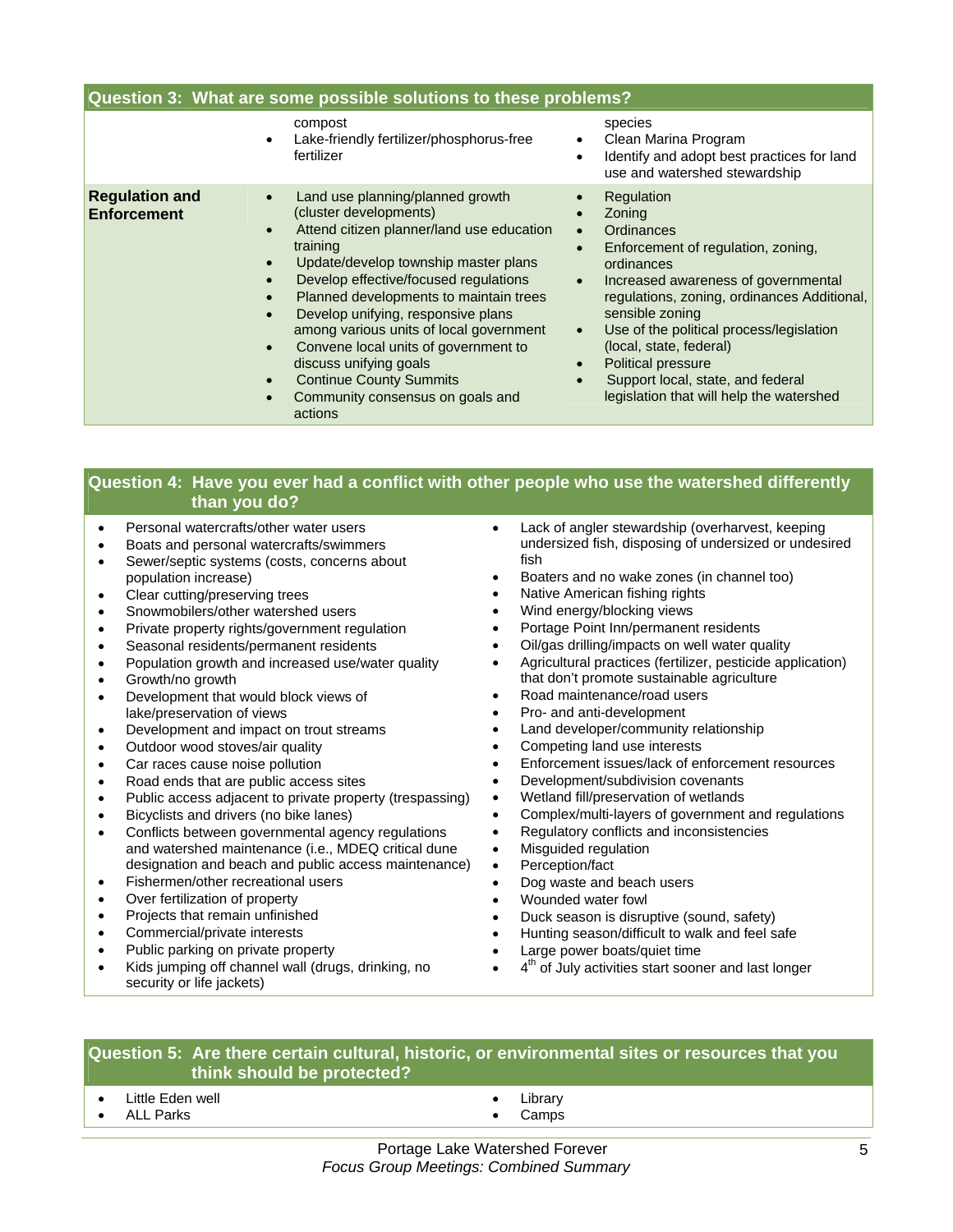| Question 3: What are some possible solutions to these problems? |                                                                                                                                                                                                                                                                                                                                                                                                                                                                                                                                                     |                                                                                                                                                                                                                                                                                                                                                                                                                |
|-----------------------------------------------------------------|-----------------------------------------------------------------------------------------------------------------------------------------------------------------------------------------------------------------------------------------------------------------------------------------------------------------------------------------------------------------------------------------------------------------------------------------------------------------------------------------------------------------------------------------------------|----------------------------------------------------------------------------------------------------------------------------------------------------------------------------------------------------------------------------------------------------------------------------------------------------------------------------------------------------------------------------------------------------------------|
|                                                                 | compost<br>Lake-friendly fertilizer/phosphorus-free<br>$\bullet$<br>fertilizer                                                                                                                                                                                                                                                                                                                                                                                                                                                                      | species<br>Clean Marina Program<br>Identify and adopt best practices for land<br>use and watershed stewardship                                                                                                                                                                                                                                                                                                 |
| <b>Regulation and</b><br><b>Enforcement</b>                     | Land use planning/planned growth<br>(cluster developments)<br>Attend citizen planner/land use education<br>$\bullet$<br>training<br>Update/develop township master plans<br>$\bullet$<br>Develop effective/focused regulations<br>Planned developments to maintain trees<br>$\bullet$<br>Develop unifying, responsive plans<br>$\bullet$<br>among various units of local government<br>Convene local units of government to<br>$\bullet$<br>discuss unifying goals<br><b>Continue County Summits</b><br>Community consensus on goals and<br>actions | Regulation<br>Zoning<br>Ordinances<br>Enforcement of regulation, zoning,<br>ordinances<br>Increased awareness of governmental<br>$\bullet$<br>regulations, zoning, ordinances Additional,<br>sensible zoning<br>Use of the political process/legislation<br>$\bullet$<br>(local, state, federal)<br><b>Political pressure</b><br>Support local, state, and federal<br>legislation that will help the watershed |

### **Question 4: Have you ever had a conflict with other people who use the watershed differently than you do?**

- Personal watercrafts/other water users
- Boats and personal watercrafts/swimmers
- Sewer/septic systems (costs, concerns about population increase)
- Clear cutting/preserving trees
- Snowmobilers/other watershed users
- Private property rights/government regulation
- Seasonal residents/permanent residents
- Population growth and increased use/water quality
- Growth/no growth
- Development that would block views of lake/preservation of views
- Development and impact on trout streams
- Outdoor wood stoves/air quality
- Car races cause noise pollution
- Road ends that are public access sites
- Public access adjacent to private property (trespassing)
- Bicyclists and drivers (no bike lanes)
- Conflicts between governmental agency regulations and watershed maintenance (i.e., MDEQ critical dune designation and beach and public access maintenance)
- Fishermen/other recreational users
- Over fertilization of property
- Projects that remain unfinished
- Commercial/private interests
- Public parking on private property
- Kids jumping off channel wall (drugs, drinking, no security or life jackets)
- Lack of angler stewardship (overharvest, keeping undersized fish, disposing of undersized or undesired fish
- Boaters and no wake zones (in channel too)
- Native American fishing rights
- Wind energy/blocking views
- Portage Point Inn/permanent residents
- Oil/gas drilling/impacts on well water quality
- Agricultural practices (fertilizer, pesticide application) that don't promote sustainable agriculture
- Road maintenance/road users
- Pro- and anti-development
- Land developer/community relationship
- Competing land use interests
- Enforcement issues/lack of enforcement resources
- Development/subdivision covenants
- Wetland fill/preservation of wetlands
- Complex/multi-layers of government and regulations
- Regulatory conflicts and inconsistencies
- Misguided regulation
- Perception/fact
- Dog waste and beach users
- Wounded water fowl
- Duck season is disruptive (sound, safety)
- Hunting season/difficult to walk and feel safe
- Large power boats/quiet time
- 4<sup>th</sup> of July activities start sooner and last longer

#### **Question 5: Are there certain cultural, historic, or environmental sites or resources that you think should be protected?**

- Little Eden well
- ALL Parks
- **Library**
- Camps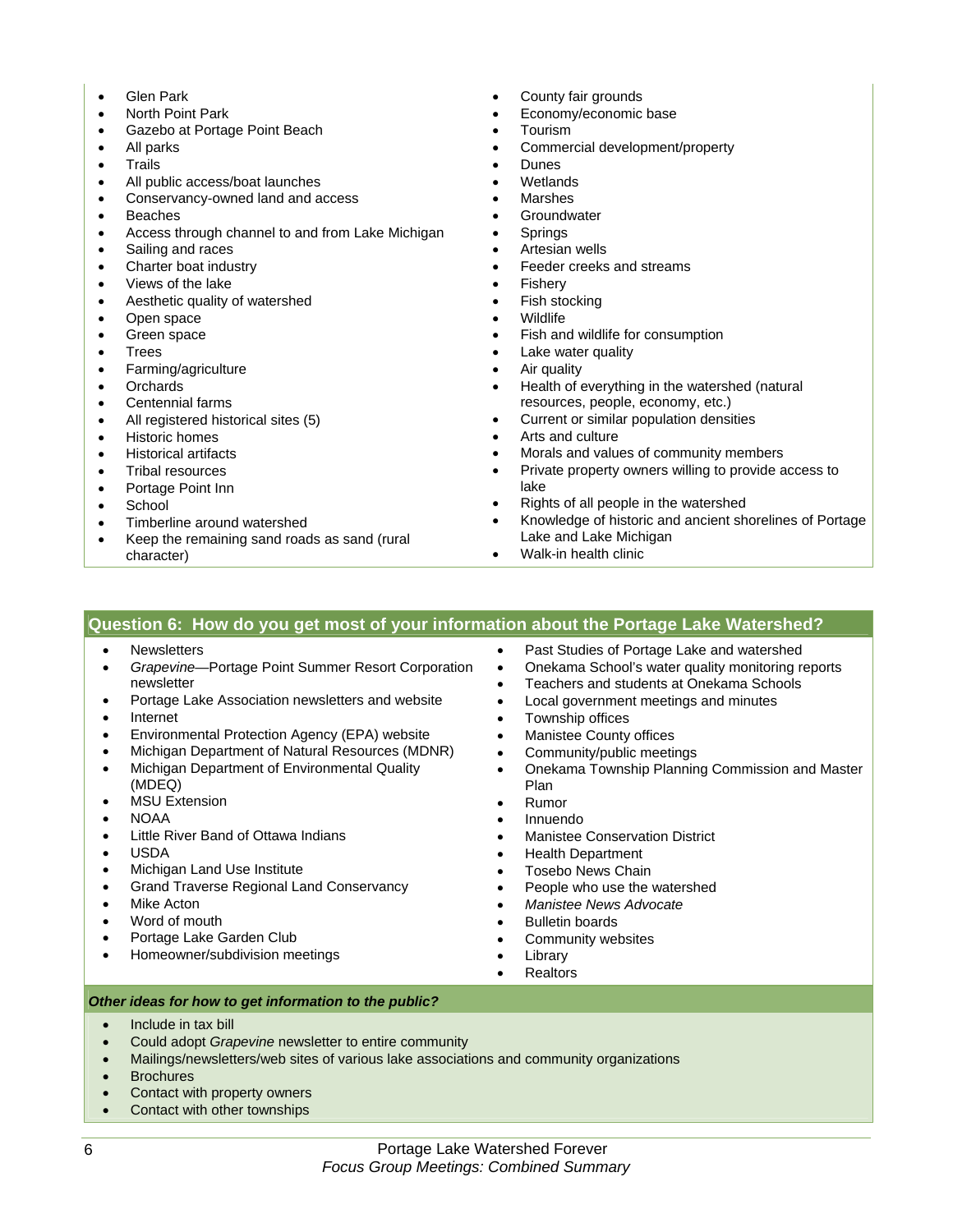- Glen Park
- North Point Park
- Gazebo at Portage Point Beach
- All parks
- Trails
- All public access/boat launches
- Conservancy-owned land and access
- Beaches
- Access through channel to and from Lake Michigan
- Sailing and races
- Charter boat industry
- Views of the lake
- Aesthetic quality of watershed
- Open space
- Green space
- Trees
- Farming/agriculture
- Orchards
- Centennial farms
- All registered historical sites (5)
- Historic homes
- Historical artifacts
- Tribal resources
- Portage Point Inn
- **School**
- Timberline around watershed
- Keep the remaining sand roads as sand (rural character)
- County fair grounds
- Economy/economic base
- Tourism
- Commercial development/property
- **Dunes**
- **Wetlands**
- **Marshes**
- **Groundwater**
- **Springs**
- Artesian wells
- Feeder creeks and streams
- **Fishery**
- Fish stocking
- Wildlife
- Fish and wildlife for consumption
- Lake water quality
- Air quality
- Health of everything in the watershed (natural resources, people, economy, etc.)
- Current or similar population densities
- Arts and culture
- Morals and values of community members
- Private property owners willing to provide access to lake
- Rights of all people in the watershed
- Knowledge of historic and ancient shorelines of Portage Lake and Lake Michigan
- Walk-in health clinic

#### **Question 6: How do you get most of your information about the Portage Lake Watershed?**

- Newsletters
- *Grapevine*—Portage Point Summer Resort Corporation newsletter
- Portage Lake Association newsletters and website
- Internet
- Environmental Protection Agency (EPA) website
- Michigan Department of Natural Resources (MDNR)
- Michigan Department of Environmental Quality (MDEQ)
- MSU Extension
- NOAA
- Little River Band of Ottawa Indians
- USDA
- Michigan Land Use Institute
- Grand Traverse Regional Land Conservancy
- Mike Acton
- Word of mouth
- Portage Lake Garden Club
- Homeowner/subdivision meetings
- Past Studies of Portage Lake and watershed
- Onekama School's water quality monitoring reports
- Teachers and students at Onekama Schools
- Local government meetings and minutes
- Township offices
- Manistee County offices
- Community/public meetings
- Onekama Township Planning Commission and Master Plan
- Rumor
- Innuendo
- Manistee Conservation District
- Health Department
- Tosebo News Chain
- People who use the watershed
- *Manistee News Advocate*
- Bulletin boards
- Community websites
- **Library**
- **Realtors**

*Other ideas for how to get information to the public?* 

- Include in tax bill
- Could adopt *Grapevine* newsletter to entire community
- Mailings/newsletters/web sites of various lake associations and community organizations
- Brochures
- Contact with property owners
- Contact with other townships
- -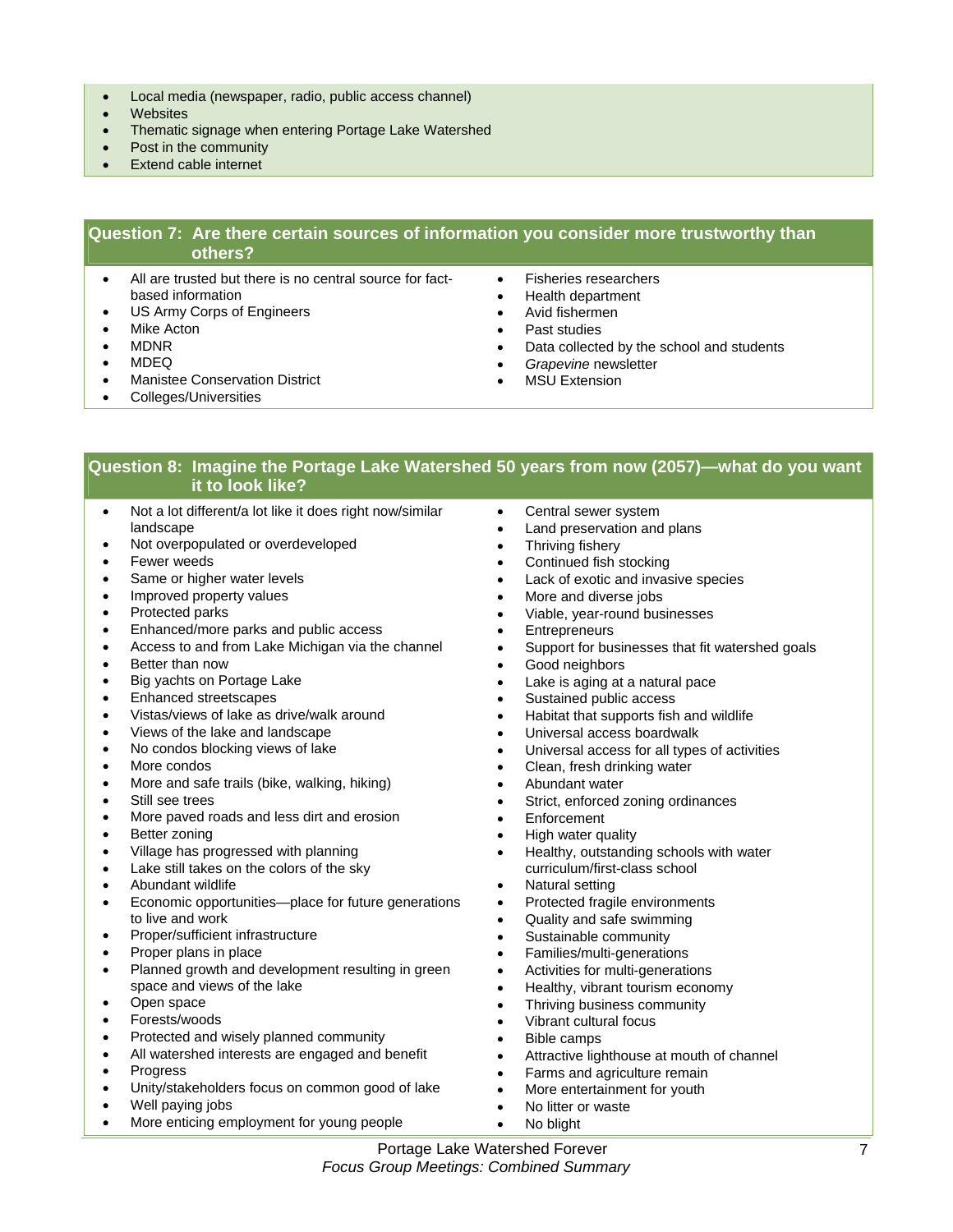- Local media (newspaper, radio, public access channel)
- Websites
- Thematic signage when entering Portage Lake Watershed
- Post in the community
- **Extend cable internet**

#### **Question 7: Are there certain sources of information you consider more trustworthy than others?**

- All are trusted but there is no central source for factbased information
- US Army Corps of Engineers
- Mike Acton
- MDNR
- MDEQ
- Manistee Conservation District
- Colleges/Universities
- Fisheries researchers
- Health department
- Avid fishermen
- Past studies
- Data collected by the school and students
- *Grapevine* newsletter
- **MSU Extension**

#### **Question 8: Imagine the Portage Lake Watershed 50 years from now (2057)—what do you want it to look like?**

- Not a lot different/a lot like it does right now/similar landscape
- Not overpopulated or overdeveloped
- Fewer weeds
- Same or higher water levels
- Improved property values
- Protected parks
- Enhanced/more parks and public access
- Access to and from Lake Michigan via the channel
- Better than now
- Big yachts on Portage Lake
- Enhanced streetscapes
- Vistas/views of lake as drive/walk around
- Views of the lake and landscape
- No condos blocking views of lake
- More condos
- More and safe trails (bike, walking, hiking)
- Still see trees
- More paved roads and less dirt and erosion
- Better zoning
- Village has progressed with planning
- Lake still takes on the colors of the sky
- Abundant wildlife
- Economic opportunities—place for future generations to live and work
- Proper/sufficient infrastructure
- Proper plans in place
- Planned growth and development resulting in green space and views of the lake
- Open space
- Forests/woods
- Protected and wisely planned community
- All watershed interests are engaged and benefit
- Progress
- Unity/stakeholders focus on common good of lake
- Well paying jobs
- More enticing employment for young people
- Central sewer system
- Land preservation and plans
- Thriving fishery
- Continued fish stocking
- Lack of exotic and invasive species
- More and diverse jobs
- Viable, year-round businesses
- **Entrepreneurs**
- Support for businesses that fit watershed goals
- Good neighbors
- Lake is aging at a natural pace
- Sustained public access
- Habitat that supports fish and wildlife
- Universal access boardwalk
- Universal access for all types of activities
- Clean, fresh drinking water
- Abundant water
- Strict, enforced zoning ordinances
- **Enforcement**
- High water quality
- Healthy, outstanding schools with water curriculum/first-class school
- Natural setting
- Protected fragile environments
- Quality and safe swimming
- Sustainable community
- Families/multi-generations
- Activities for multi-generations
- Healthy, vibrant tourism economy
- Thriving business community
- Vibrant cultural focus
- Bible camps
- Attractive lighthouse at mouth of channel
- Farms and agriculture remain
- More entertainment for youth
- No litter or waste
- No blight